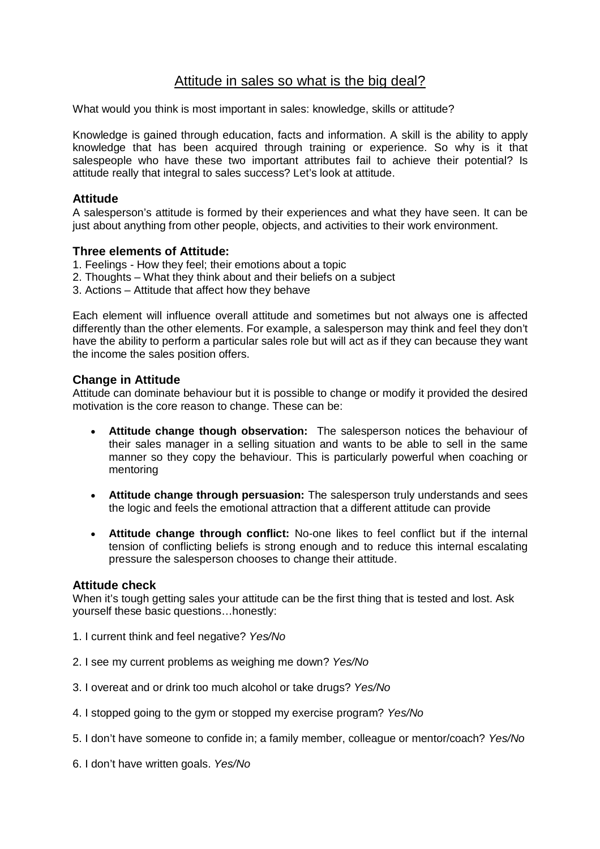# Attitude in sales so what is the big deal?

What would you think is most important in sales: knowledge, skills or attitude?

Knowledge is gained through education, facts and information. A skill is the ability to apply knowledge that has been acquired through training or experience. So why is it that salespeople who have these two important attributes fail to achieve their potential? Is attitude really that integral to sales success? Let's look at attitude.

### **Attitude**

A salesperson's attitude is formed by their experiences and what they have seen. It can be just about anything from other people, objects, and activities to their work environment.

### **Three elements of Attitude:**

- 1. Feelings How they feel; their emotions about a topic
- 2. Thoughts What they think about and their beliefs on a subject
- 3. Actions Attitude that affect how they behave

Each element will influence overall attitude and sometimes but not always one is affected differently than the other elements. For example, a salesperson may think and feel they don't have the ability to perform a particular sales role but will act as if they can because they want the income the sales position offers.

## **Change in Attitude**

Attitude can dominate behaviour but it is possible to change or modify it provided the desired motivation is the core reason to change. These can be:

- **Attitude change though observation:** The salesperson notices the behaviour of their sales manager in a selling situation and wants to be able to sell in the same manner so they copy the behaviour. This is particularly powerful when coaching or mentoring
- **Attitude change through persuasion:** The salesperson truly understands and sees the logic and feels the emotional attraction that a different attitude can provide
- **Attitude change through conflict:** No-one likes to feel conflict but if the internal tension of conflicting beliefs is strong enough and to reduce this internal escalating pressure the salesperson chooses to change their attitude.

#### **Attitude check**

When it's tough getting sales your attitude can be the first thing that is tested and lost. Ask yourself these basic questions…honestly:

- 1. I current think and feel negative? *Yes/No*
- 2. I see my current problems as weighing me down? *Yes/No*
- 3. I overeat and or drink too much alcohol or take drugs? *Yes/No*
- 4. I stopped going to the gym or stopped my exercise program? *Yes/No*
- 5. I don't have someone to confide in; a family member, colleague or mentor/coach? *Yes/No*
- 6. I don't have written goals. *Yes/No*